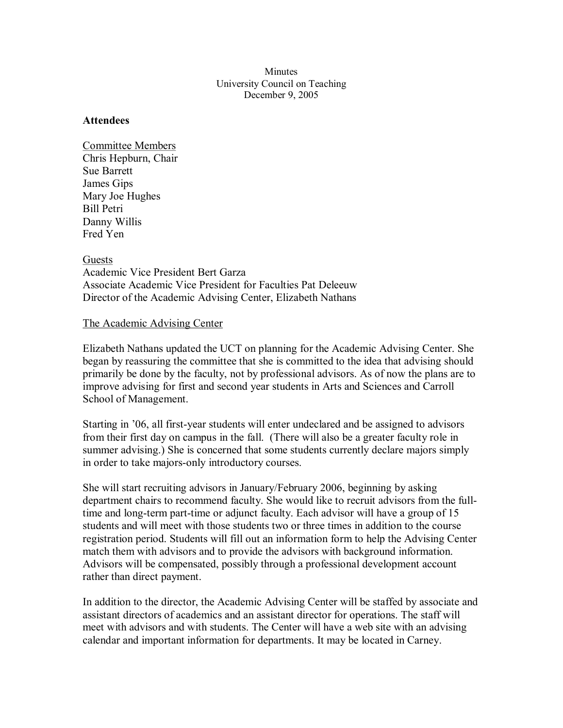**Minutes** University Council on Teaching December 9, 2005

#### **Attendees**

Committee Members Chris Hepburn, Chair Sue Barrett James Gips Mary Joe Hughes Bill Petri Danny Willis Fred Yen

**Guests** Academic Vice President Bert Garza Associate Academic Vice President for Faculties Pat Deleeuw Director of the Academic Advising Center, Elizabeth Nathans

#### The Academic Advising Center

Elizabeth Nathans updated the UCT on planning for the Academic Advising Center. She began by reassuring the committee that she is committed to the idea that advising should primarily be done by the faculty, not by professional advisors. As of now the plans are to improve advising for first and second year students in Arts and Sciences and Carroll School of Management.

Starting in '06, all first-year students will enter undeclared and be assigned to advisors from their first day on campus in the fall. (There will also be a greater faculty role in summer advising.) She is concerned that some students currently declare majors simply in order to take majors-only introductory courses.

She will start recruiting advisors in January/February 2006, beginning by asking department chairs to recommend faculty. She would like to recruit advisors from the fulltime and long-term part-time or adjunct faculty. Each advisor will have a group of 15 students and will meet with those students two or three times in addition to the course registration period. Students will fill out an information form to help the Advising Center match them with advisors and to provide the advisors with background information. Advisors will be compensated, possibly through a professional development account rather than direct payment.

In addition to the director, the Academic Advising Center will be staffed by associate and assistant directors of academics and an assistant director for operations. The staff will meet with advisors and with students. The Center will have a web site with an advising calendar and important information for departments. It may be located in Carney.